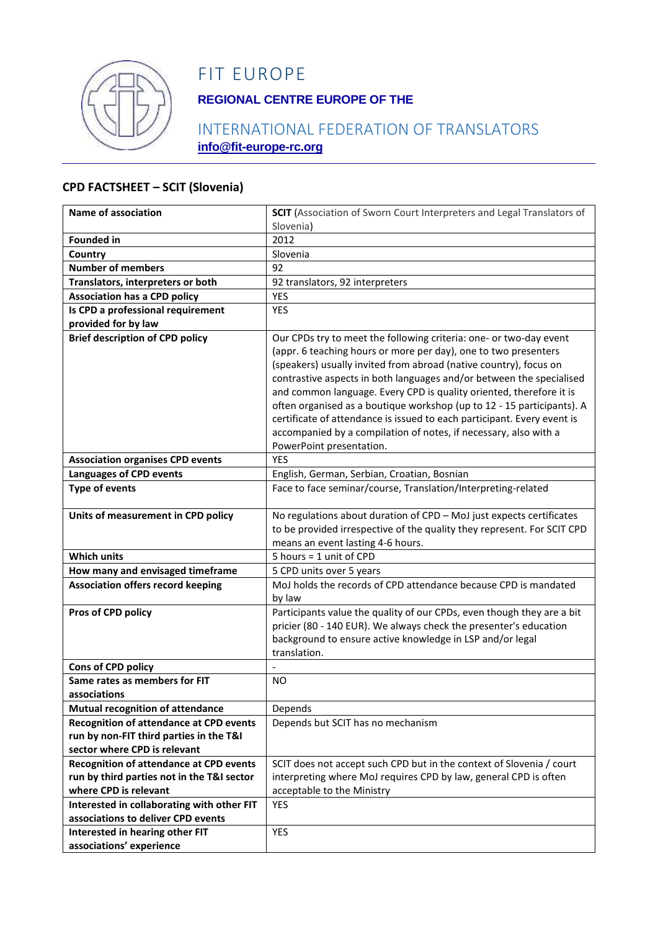

# FIT EUROPE

# **REGIONAL CENTRE EUROPE OF THE**

### INTERNATIONAL FEDERATION OF TRANSLATORS **info@fit-europe-rc.org**

#### **CPD FACTSHEET – SCIT (Slovenia)**

| Name of association                            | <b>SCIT</b> (Association of Sworn Court Interpreters and Legal Translators of<br>Slovenia)  |
|------------------------------------------------|---------------------------------------------------------------------------------------------|
| <b>Founded in</b>                              | 2012                                                                                        |
| Country                                        | Slovenia                                                                                    |
| <b>Number of members</b>                       | 92                                                                                          |
| Translators, interpreters or both              | 92 translators, 92 interpreters                                                             |
| <b>Association has a CPD policy</b>            | <b>YES</b>                                                                                  |
| Is CPD a professional requirement              | <b>YES</b>                                                                                  |
| provided for by law                            |                                                                                             |
| <b>Brief description of CPD policy</b>         | Our CPDs try to meet the following criteria: one- or two-day event                          |
|                                                | (appr. 6 teaching hours or more per day), one to two presenters                             |
|                                                | (speakers) usually invited from abroad (native country), focus on                           |
|                                                | contrastive aspects in both languages and/or between the specialised                        |
|                                                | and common language. Every CPD is quality oriented, therefore it is                         |
|                                                | often organised as a boutique workshop (up to 12 - 15 participants). A                      |
|                                                | certificate of attendance is issued to each participant. Every event is                     |
|                                                | accompanied by a compilation of notes, if necessary, also with a                            |
|                                                | PowerPoint presentation.                                                                    |
| <b>Association organises CPD events</b>        | <b>YES</b>                                                                                  |
| <b>Languages of CPD events</b>                 | English, German, Serbian, Croatian, Bosnian                                                 |
| <b>Type of events</b>                          | Face to face seminar/course, Translation/Interpreting-related                               |
|                                                |                                                                                             |
| Units of measurement in CPD policy             | No regulations about duration of CPD - MoJ just expects certificates                        |
|                                                | to be provided irrespective of the quality they represent. For SCIT CPD                     |
| <b>Which units</b>                             | means an event lasting 4-6 hours.<br>5 hours = 1 unit of CPD                                |
|                                                |                                                                                             |
| How many and envisaged timeframe               | 5 CPD units over 5 years<br>MoJ holds the records of CPD attendance because CPD is mandated |
| <b>Association offers record keeping</b>       | by law                                                                                      |
| Pros of CPD policy                             | Participants value the quality of our CPDs, even though they are a bit                      |
|                                                | pricier (80 - 140 EUR). We always check the presenter's education                           |
|                                                | background to ensure active knowledge in LSP and/or legal                                   |
|                                                | translation.                                                                                |
| Cons of CPD policy                             |                                                                                             |
| Same rates as members for FIT                  | NO.                                                                                         |
| associations                                   |                                                                                             |
| <b>Mutual recognition of attendance</b>        | Depends                                                                                     |
| <b>Recognition of attendance at CPD events</b> | Depends but SCIT has no mechanism                                                           |
| run by non-FIT third parties in the T&I        |                                                                                             |
| sector where CPD is relevant                   |                                                                                             |
| <b>Recognition of attendance at CPD events</b> | SCIT does not accept such CPD but in the context of Slovenia / court                        |
| run by third parties not in the T&I sector     | interpreting where MoJ requires CPD by law, general CPD is often                            |
| where CPD is relevant                          | acceptable to the Ministry                                                                  |
| Interested in collaborating with other FIT     | <b>YES</b>                                                                                  |
| associations to deliver CPD events             |                                                                                             |
| Interested in hearing other FIT                | YES                                                                                         |
| associations' experience                       |                                                                                             |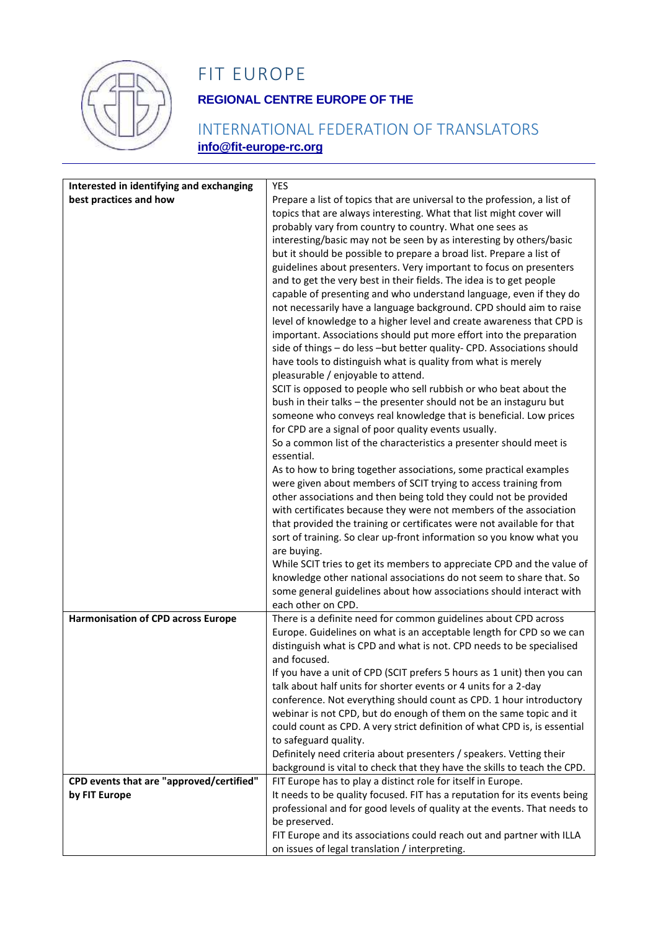

# FIT EUROPE

# **REGIONAL CENTRE EUROPE OF THE**

### INTERNATIONAL FEDERATION OF TRANSLATORS **info@fit-europe-rc.org**

| Interested in identifying and exchanging  | YES                                                                                                                                        |
|-------------------------------------------|--------------------------------------------------------------------------------------------------------------------------------------------|
| best practices and how                    | Prepare a list of topics that are universal to the profession, a list of                                                                   |
|                                           | topics that are always interesting. What that list might cover will                                                                        |
|                                           | probably vary from country to country. What one sees as                                                                                    |
|                                           | interesting/basic may not be seen by as interesting by others/basic                                                                        |
|                                           | but it should be possible to prepare a broad list. Prepare a list of<br>guidelines about presenters. Very important to focus on presenters |
|                                           | and to get the very best in their fields. The idea is to get people                                                                        |
|                                           | capable of presenting and who understand language, even if they do                                                                         |
|                                           | not necessarily have a language background. CPD should aim to raise                                                                        |
|                                           | level of knowledge to a higher level and create awareness that CPD is                                                                      |
|                                           | important. Associations should put more effort into the preparation                                                                        |
|                                           | side of things - do less -but better quality- CPD. Associations should                                                                     |
|                                           | have tools to distinguish what is quality from what is merely                                                                              |
|                                           | pleasurable / enjoyable to attend.<br>SCIT is opposed to people who sell rubbish or who beat about the                                     |
|                                           | bush in their talks - the presenter should not be an instaguru but                                                                         |
|                                           | someone who conveys real knowledge that is beneficial. Low prices                                                                          |
|                                           | for CPD are a signal of poor quality events usually.                                                                                       |
|                                           | So a common list of the characteristics a presenter should meet is                                                                         |
|                                           | essential.                                                                                                                                 |
|                                           | As to how to bring together associations, some practical examples<br>were given about members of SCIT trying to access training from       |
|                                           | other associations and then being told they could not be provided                                                                          |
|                                           | with certificates because they were not members of the association                                                                         |
|                                           | that provided the training or certificates were not available for that                                                                     |
|                                           | sort of training. So clear up-front information so you know what you                                                                       |
|                                           | are buying.                                                                                                                                |
|                                           | While SCIT tries to get its members to appreciate CPD and the value of                                                                     |
|                                           | knowledge other national associations do not seem to share that. So<br>some general guidelines about how associations should interact with |
|                                           | each other on CPD.                                                                                                                         |
| <b>Harmonisation of CPD across Europe</b> | There is a definite need for common guidelines about CPD across                                                                            |
|                                           | Europe. Guidelines on what is an acceptable length for CPD so we can                                                                       |
|                                           | distinguish what is CPD and what is not. CPD needs to be specialised                                                                       |
|                                           | and focused.<br>If you have a unit of CPD (SCIT prefers 5 hours as 1 unit) then you can                                                    |
|                                           | talk about half units for shorter events or 4 units for a 2-day                                                                            |
|                                           | conference. Not everything should count as CPD. 1 hour introductory                                                                        |
|                                           | webinar is not CPD, but do enough of them on the same topic and it                                                                         |
|                                           | could count as CPD. A very strict definition of what CPD is, is essential                                                                  |
|                                           | to safeguard quality.                                                                                                                      |
|                                           | Definitely need criteria about presenters / speakers. Vetting their                                                                        |
| CPD events that are "approved/certified"  | background is vital to check that they have the skills to teach the CPD.<br>FIT Europe has to play a distinct role for itself in Europe.   |
| by FIT Europe                             | It needs to be quality focused. FIT has a reputation for its events being                                                                  |
|                                           | professional and for good levels of quality at the events. That needs to                                                                   |
|                                           | be preserved.                                                                                                                              |
|                                           | FIT Europe and its associations could reach out and partner with ILLA                                                                      |
|                                           | on issues of legal translation / interpreting.                                                                                             |